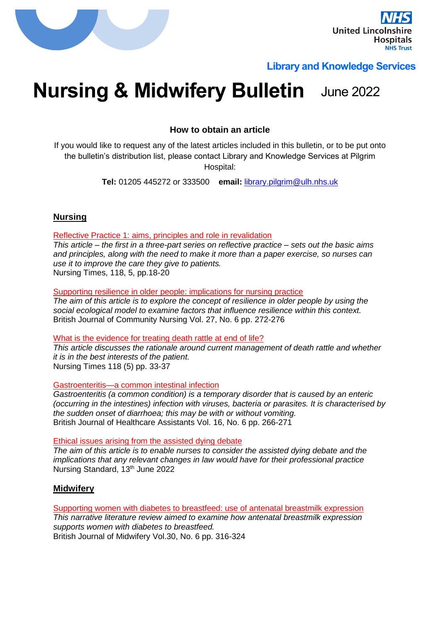

## **Library and Knowledge Services**

# **Nursing & Midwifery Bulletin** June 2022

**How to obtain an article**

If you would like to request any of the latest articles included in this bulletin, or to be put onto the bulletin's distribution list, please contact Library and Knowledge Services at Pilgrim Hospital:

**Tel:** 01205 445272 or 333500 **email:** [library.pilgrim@ulh.nhs.uk](mailto:library.pilgrim@ulh.nhs.uk)

## **Nursing**

Reflective Practice 1: aims, principles and role in revalidation

*This article – the first in a three-part series on reflective practice – sets out the basic aims and principles, along with the need to make it more than a paper exercise, so nurses can use it to improve the care they give to patients.* Nursing Times, 118, 5, pp.18-20

Supporting resilience in older people: implications for nursing practice

*The aim of this article is to explore the concept of resilience in older people by using the social ecological model to examine factors that influence resilience within this context.*  British Journal of Community Nursing Vol. 27, No. 6 pp. 272-276

#### What is the evidence for treating death rattle at end of life?

*This article discusses the rationale around current management of death rattle and whether it is in the best interests of the patient.* Nursing Times 118 (5) pp. 33-37

Gastroenteritis—a common intestinal infection

*Gastroenteritis (a common condition) is a temporary disorder that is caused by an enteric (occurring in the intestines) infection with viruses, bacteria or parasites. It is characterised by the sudden onset of diarrhoea; this may be with or without vomiting.* British Journal of Healthcare Assistants Vol. 16, No. 6 pp. 266-271

Ethical issues arising from the assisted dying debate

*The aim of this article is to enable nurses to consider the assisted dying debate and the implications that any relevant changes in law would have for their professional practice* Nursing Standard, 13<sup>th</sup> June 2022

## **Midwifery**

Supporting women with diabetes to breastfeed: use of antenatal breastmilk expression *This narrative literature review aimed to examine how antenatal breastmilk expression supports women with diabetes to breastfeed.* British Journal of Midwifery Vol.30, No. 6 pp. 316-324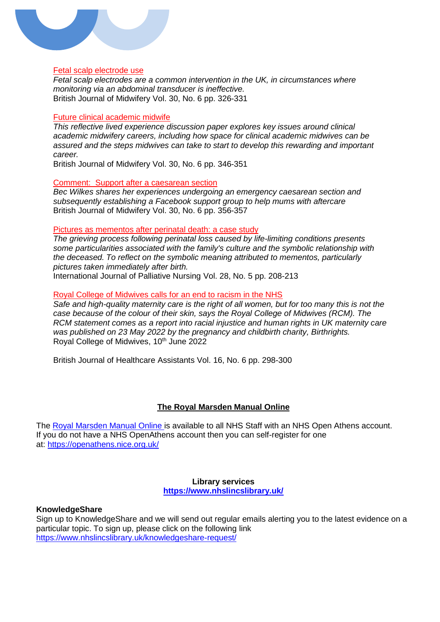

#### Fetal scalp electrode use

*Fetal scalp electrodes are a common intervention in the UK, in circumstances where monitoring via an abdominal transducer is ineffective.* British Journal of Midwifery Vol. 30, No. 6 pp. 326-331

#### Future clinical academic midwife

*This reflective lived experience discussion paper explores key issues around clinical academic midwifery careers, including how space for clinical academic midwives can be assured and the steps midwives can take to start to develop this rewarding and important career.*

British Journal of Midwifery Vol. 30, No. 6 pp. 346-351

#### Comment: Support after a caesarean section

*Bec Wilkes shares her experiences undergoing an emergency caesarean section and subsequently establishing a Facebook support group to help mums with aftercare* British Journal of Midwifery Vol. 30, No. 6 pp. 356-357

#### Pictures as mementos after perinatal death: a case study

*The grieving process following perinatal loss caused by life-limiting conditions presents some particularities associated with the family's culture and the symbolic relationship with the deceased. To reflect on the symbolic meaning attributed to mementos, particularly pictures taken immediately after birth.*

International Journal of Palliative Nursing Vol. 28, No. 5 pp. 208-213

#### Royal College of Midwives calls for an end to racism in the NHS

*Safe and high-quality maternity care is the right of all women, but for too many this is not the case because of the colour of their skin, says the Royal College of Midwives (RCM). The RCM statement comes as a report into racial injustice and human rights in UK maternity care was published on 23 May 2022 by the pregnancy and childbirth charity, Birthrights.* Royal College of Midwives, 10<sup>th</sup> June 2022

British Journal of Healthcare Assistants Vol. 16, No. 6 pp. 298-300

## **The Royal Marsden Manual Online**

The [Royal Marsden Manual Online](https://www.nhslincslibrary.uk/ebooks/) is available to all NHS Staff with an NHS Open Athens account. If you do not have a NHS OpenAthens account then you can self-register for one at: <https://openathens.nice.org.uk/>

#### **Library services <https://www.nhslincslibrary.uk/>**

#### **KnowledgeShare**

Sign up to KnowledgeShare and we will send out regular emails alerting you to the latest evidence on a particular topic. To sign up, please click on the following link <https://www.nhslincslibrary.uk/knowledgeshare-request/>